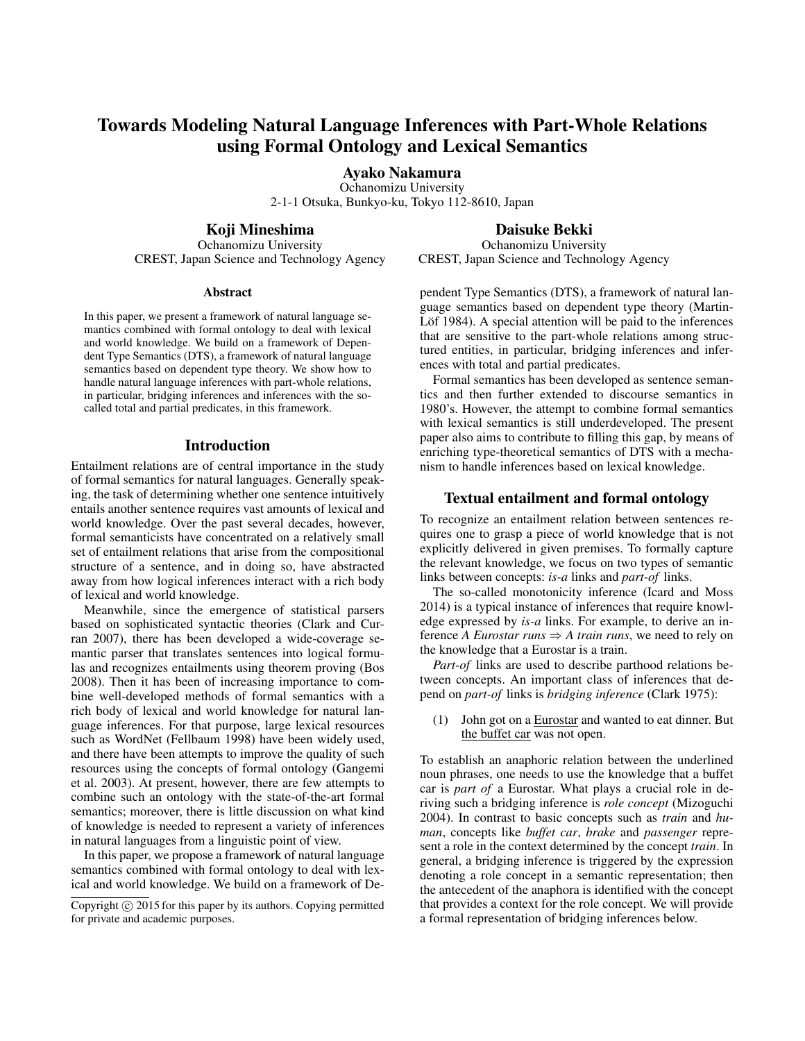# Towards Modeling Natural Language Inferences with Part-Whole Relations using Formal Ontology and Lexical Semantics

Ayako Nakamura

Ochanomizu University 2-1-1 Otsuka, Bunkyo-ku, Tokyo 112-8610, Japan

Koji Mineshima

Ochanomizu University CREST, Japan Science and Technology Agency

#### **Abstract**

In this paper, we present a framework of natural language semantics combined with formal ontology to deal with lexical and world knowledge. We build on a framework of Dependent Type Semantics (DTS), a framework of natural language semantics based on dependent type theory. We show how to handle natural language inferences with part-whole relations, in particular, bridging inferences and inferences with the socalled total and partial predicates, in this framework.

### Introduction

Entailment relations are of central importance in the study of formal semantics for natural languages. Generally speaking, the task of determining whether one sentence intuitively entails another sentence requires vast amounts of lexical and world knowledge. Over the past several decades, however, formal semanticists have concentrated on a relatively small set of entailment relations that arise from the compositional structure of a sentence, and in doing so, have abstracted away from how logical inferences interact with a rich body of lexical and world knowledge.

Meanwhile, since the emergence of statistical parsers based on sophisticated syntactic theories (Clark and Curran 2007), there has been developed a wide-coverage semantic parser that translates sentences into logical formulas and recognizes entailments using theorem proving (Bos 2008). Then it has been of increasing importance to combine well-developed methods of formal semantics with a rich body of lexical and world knowledge for natural language inferences. For that purpose, large lexical resources such as WordNet (Fellbaum 1998) have been widely used, and there have been attempts to improve the quality of such resources using the concepts of formal ontology (Gangemi et al. 2003). At present, however, there are few attempts to combine such an ontology with the state-of-the-art formal semantics; moreover, there is little discussion on what kind of knowledge is needed to represent a variety of inferences in natural languages from a linguistic point of view.

In this paper, we propose a framework of natural language semantics combined with formal ontology to deal with lexical and world knowledge. We build on a framework of De-

# Daisuke Bekki

Ochanomizu University CREST, Japan Science and Technology Agency

pendent Type Semantics (DTS), a framework of natural language semantics based on dependent type theory (Martin-Löf 1984). A special attention will be paid to the inferences that are sensitive to the part-whole relations among structured entities, in particular, bridging inferences and inferences with total and partial predicates.

Formal semantics has been developed as sentence semantics and then further extended to discourse semantics in 1980's. However, the attempt to combine formal semantics with lexical semantics is still underdeveloped. The present paper also aims to contribute to filling this gap, by means of enriching type-theoretical semantics of DTS with a mechanism to handle inferences based on lexical knowledge.

# Textual entailment and formal ontology

To recognize an entailment relation between sentences requires one to grasp a piece of world knowledge that is not explicitly delivered in given premises. To formally capture the relevant knowledge, we focus on two types of semantic links between concepts: *is-a* links and *part-of* links.

The so-called monotonicity inference (Icard and Moss 2014) is a typical instance of inferences that require knowledge expressed by *is-a* links. For example, to derive an inference *A Eurostar runs*  $\Rightarrow$  *A train runs*, we need to rely on the knowledge that a Eurostar is a train.

*Part-of* links are used to describe parthood relations between concepts. An important class of inferences that depend on *part-of* links is *bridging inference* (Clark 1975):

(1) John got on a Eurostar and wanted to eat dinner. But the buffet car was not open.

To establish an anaphoric relation between the underlined noun phrases, one needs to use the knowledge that a buffet car is *part of* a Eurostar. What plays a crucial role in deriving such a bridging inference is *role concept* (Mizoguchi 2004). In contrast to basic concepts such as *train* and *human*, concepts like *buffet car*, *brake* and *passenger* represent a role in the context determined by the concept *train*. In general, a bridging inference is triggered by the expression denoting a role concept in a semantic representation; then the antecedent of the anaphora is identified with the concept that provides a context for the role concept. We will provide a formal representation of bridging inferences below.

Copyright  $\circ$  2015 for this paper by its authors. Copying permitted for private and academic purposes.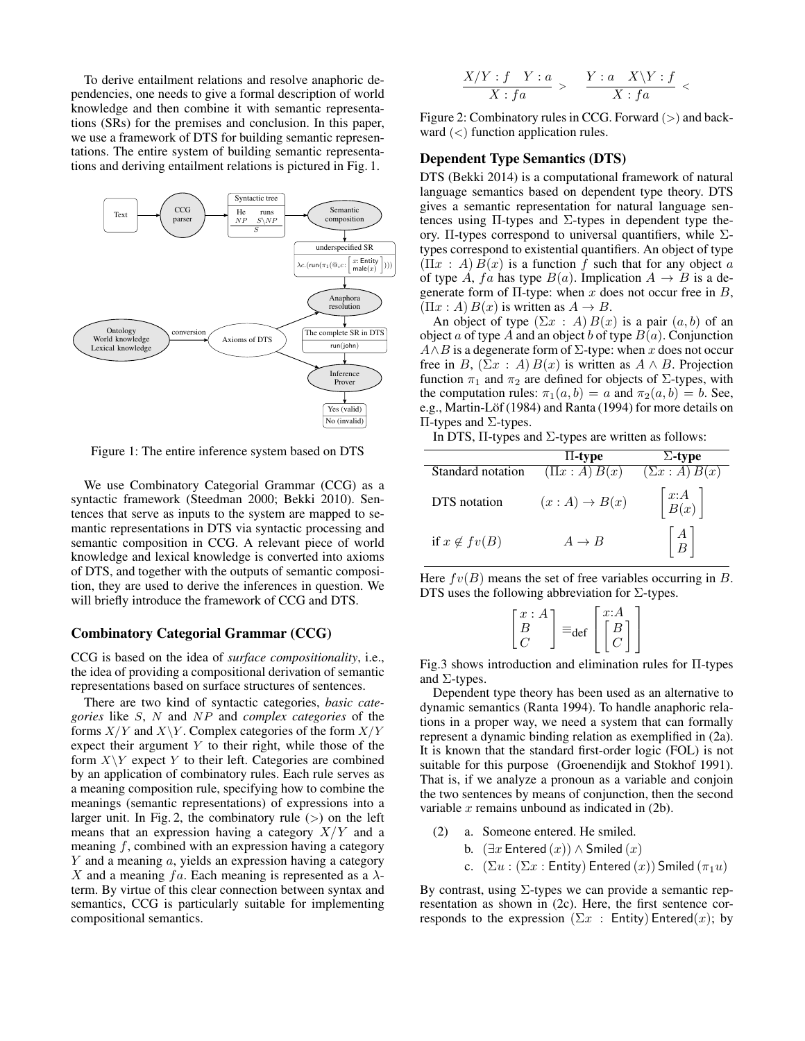To derive entailment relations and resolve anaphoric dependencies, one needs to give a formal description of world knowledge and then combine it with semantic representations (SRs) for the premises and conclusion. In this paper, we use a framework of DTS for building semantic representations. The entire system of building semantic representations and deriving entailment relations is pictured in Fig. 1.



Figure 1: The entire inference system based on DTS

We use Combinatory Categorial Grammar (CCG) as a syntactic framework (Steedman 2000; Bekki 2010). Sentences that serve as inputs to the system are mapped to semantic representations in DTS via syntactic processing and semantic composition in CCG. A relevant piece of world knowledge and lexical knowledge is converted into axioms of DTS, and together with the outputs of semantic composition, they are used to derive the inferences in question. We will briefly introduce the framework of CCG and DTS.

#### Combinatory Categorial Grammar (CCG)

CCG is based on the idea of *surface compositionality*, i.e., the idea of providing a compositional derivation of semantic representations based on surface structures of sentences.

There are two kind of syntactic categories, *basic categories* like *S*, *N* and *NP* and *complex categories* of the forms *X/Y* and *X\Y* . Complex categories of the form *X/Y* expect their argument *Y* to their right, while those of the form  $X \ Y$  expect  $Y$  to their left. Categories are combined by an application of combinatory rules. Each rule serves as a meaning composition rule, specifying how to combine the meanings (semantic representations) of expressions into a larger unit. In Fig. 2, the combinatory rule (*>*) on the left means that an expression having a category *X/Y* and a meaning *f*, combined with an expression having a category *Y* and a meaning *a*, yields an expression having a category *X* and a meaning  $fa$ . Each meaning is represented as a  $\lambda$ term. By virtue of this clear connection between syntax and semantics, CCG is particularly suitable for implementing compositional semantics.

$$
\frac{X/Y: f \quad Y: a}{X: fa} > \quad \frac{Y: a \quad X\backslash Y: f}{X: fa} <
$$

Figure 2: Combinatory rules in CCG. Forward (*>*) and backward (*<*) function application rules.

# Dependent Type Semantics (DTS)

DTS (Bekki 2014) is a computational framework of natural language semantics based on dependent type theory. DTS gives a semantic representation for natural language sentences using  $\Pi$ -types and  $\Sigma$ -types in dependent type theory. Π-types correspond to universal quantifiers, while  $\Sigma$ types correspond to existential quantifiers. An object of type  $(\Pi x : A) B(x)$  is a function f such that for any object *a* of type *A*,  $fa$  has type  $B(a)$ . Implication  $A \rightarrow B$  is a degenerate form of Π-type: when *x* does not occur free in *B*,  $(\Pi x : A) B(x)$  is written as  $A \rightarrow B$ .

An object of type  $(\Sigma x : A) B(x)$  is a pair  $(a, b)$  of an object *a* of type *A* and an object *b* of type  $B(a)$ . Conjunction *A∧B* is a degenerate form of Σ-type: when *x* does not occur free in *B*,  $(\Sigma x : A) B(x)$  is written as  $A \wedge B$ . Projection function  $\pi_1$  and  $\pi_2$  are defined for objects of  $\Sigma$ -types, with the computation rules:  $\pi_1(a, b) = a$  and  $\pi_2(a, b) = b$ . See, e.g., Martin-Löf (1984) and Ranta (1994) for more details on Π-types and Σ-types.

| In DTS, $\Pi$ -types and $\Sigma$ -types are written as follows: |  |  |  |  |  |  |  |
|------------------------------------------------------------------|--|--|--|--|--|--|--|
|------------------------------------------------------------------|--|--|--|--|--|--|--|

|                     | $\Pi$ -type              | $\Sigma$ -type                                       |
|---------------------|--------------------------|------------------------------------------------------|
| Standard notation   | $(\Pi x : A) B(x)$       | $(\Sigma x : A) B(x)$                                |
| DTS notation        | $(x:A) \rightarrow B(x)$ | $\begin{bmatrix} x:A \\ B(x) \end{bmatrix}$          |
| if $x \notin fv(B)$ | $A \rightarrow B$        | $\left  \begin{array}{c} A \\ B \end{array} \right $ |

Here  $fv(B)$  means the set of free variables occurring in *B*. DTS uses the following abbreviation for  $\Sigma$ -types.

| $x$ :<br>$\mathbf{A}$<br>≡<br>۵ť | x: A<br>В |
|----------------------------------|-----------|
|----------------------------------|-----------|

Fig.3 shows introduction and elimination rules for Π-types and  $\Sigma$ -types.

Dependent type theory has been used as an alternative to dynamic semantics (Ranta 1994). To handle anaphoric relations in a proper way, we need a system that can formally represent a dynamic binding relation as exemplified in (2a). It is known that the standard first-order logic (FOL) is not suitable for this purpose (Groenendijk and Stokhof 1991). That is, if we analyze a pronoun as a variable and conjoin the two sentences by means of conjunction, then the second variable *x* remains unbound as indicated in (2b).

- (2) a. Someone entered. He smiled.
	- b. (*∃x* Entered (*x*)) *∧* Smiled (*x*)
	- c.  $(\Sigma u : (\Sigma x : \text{Entity}) \text{Entered}(x))$  Smiled  $(\pi_1 u)$

By contrast, using  $\Sigma$ -types we can provide a semantic representation as shown in (2c). Here, the first sentence corresponds to the expression ( $\Sigma x$  : Entity) Entered(x); by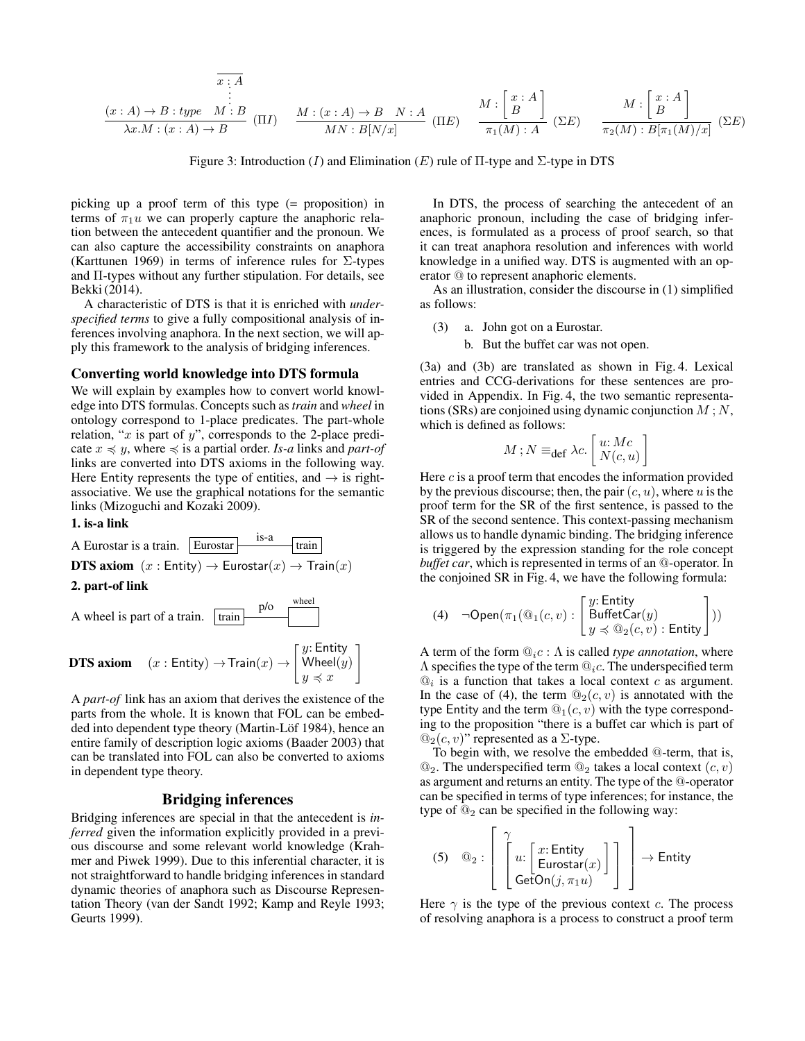$$
\begin{array}{c}\n x:A \\
 \vdots \\
 \hline\n \lambda x.M:(x:A) \to B\n \end{array}\n \quad\n \begin{array}{c}\n x:A \\
 \vdots \\
 x:A\n \end{array}\n \quad\n \begin{array}{c}\n M:(x:A) \to B \quad N:A \\
 \hline\n MN:B[N/x]\n \end{array}\n \quad\n \begin{array}{c}\n M:\begin{bmatrix}\n x:A \\
 B\n \end{bmatrix} \\
 \hline\n \pi_1(M):A\n \end{array}\n \quad\n \begin{array}{c}\n M:\begin{bmatrix}\n x:A \\
 B\n \end{bmatrix} \\
 \hline\n \pi_2(M):B[\pi_1(M)/x]\n \end{array}\n \quad\n \begin{array}{c}\n \Sigma E\n \end{array}\n \end{array}
$$

Figure 3: Introduction (*I*) and Elimination (*E*) rule of Π-type and Σ-type in DTS

picking up a proof term of this type (= proposition) in terms of  $\pi_1 u$  we can properly capture the anaphoric relation between the antecedent quantifier and the pronoun. We can also capture the accessibility constraints on anaphora (Karttunen 1969) in terms of inference rules for Σ-types and Π-types without any further stipulation. For details, see Bekki (2014).

A characteristic of DTS is that it is enriched with *underspecified terms* to give a fully compositional analysis of inferences involving anaphora. In the next section, we will apply this framework to the analysis of bridging inferences.

#### Converting world knowledge into DTS formula

We will explain by examples how to convert world knowledge into DTS formulas. Concepts such as*train* and *wheel* in ontology correspond to 1-place predicates. The part-whole relation, "*x* is part of *y*", corresponds to the 2-place predicate  $x$   $\le$  *y*, where  $\le$  is a partial order. *Is-a* links and *part-of* links are converted into DTS axioms in the following way. Here Entity represents the type of entities, and *→* is rightassociative. We use the graphical notations for the semantic links (Mizoguchi and Kozaki 2009).

#### 1. is-a link



**DTS axiom**  $(x : \text{Entity}) \rightarrow \text{Train}(x) \rightarrow$ [ *y*: Entity Wheel(*y*) *y* ≼ *x* ]

A *part-of* link has an axiom that derives the existence of the parts from the whole. It is known that FOL can be embedded into dependent type theory (Martin-Löf 1984), hence an entire family of description logic axioms (Baader 2003) that can be translated into FOL can also be converted to axioms in dependent type theory.

# Bridging inferences

Bridging inferences are special in that the antecedent is *inferred* given the information explicitly provided in a previous discourse and some relevant world knowledge (Krahmer and Piwek 1999). Due to this inferential character, it is not straightforward to handle bridging inferences in standard dynamic theories of anaphora such as Discourse Representation Theory (van der Sandt 1992; Kamp and Reyle 1993; Geurts 1999).

In DTS, the process of searching the antecedent of an anaphoric pronoun, including the case of bridging inferences, is formulated as a process of proof search, so that it can treat anaphora resolution and inferences with world knowledge in a unified way. DTS is augmented with an operator @ to represent anaphoric elements.

As an illustration, consider the discourse in (1) simplified as follows:

- (3) a. John got on a Eurostar.
	- b. But the buffet car was not open.

(3a) and (3b) are translated as shown in Fig. 4. Lexical entries and CCG-derivations for these sentences are provided in Appendix. In Fig. 4, the two semantic representations (SRs) are conjoined using dynamic conjunction *M* ; *N*, which is defined as follows:

$$
M\,;N\equiv_{\mathbf{def}}\lambda c.\left[\!\!\begin{array}{c} u\! : Mc\\ N(c,u)\end{array}\!\!\right]
$$

Here *c* is a proof term that encodes the information provided by the previous discourse; then, the pair(*c, u*), where *u* is the proof term for the SR of the first sentence, is passed to the SR of the second sentence. This context-passing mechanism allows us to handle dynamic binding. The bridging inference is triggered by the expression standing for the role concept *buffet car*, which is represented in terms of an @-operator. In the conjoined SR in Fig. 4, we have the following formula:

(4) 
$$
\neg
$$
Open $(\pi_1(\mathbb{Q}_1(c, v) : \begin{bmatrix} y: \text{Entity} \\ \text{BufferCar}(y) \\ y \preccurlyeq \mathbb{Q}_2(c, v) : \text{Entity} \end{bmatrix}))$ 

A term of the form @*ic* : Λ is called *type annotation*, where Λ specifies the type of the term @*ic*. The underspecified term  $\mathcal{Q}_i$  is a function that takes a local context  $c$  as argument. In the case of (4), the term  $\mathcal{Q}_2(c, v)$  is annotated with the type Entity and the term  $@_1(c, v)$  with the type corresponding to the proposition "there is a buffet car which is part of  $\mathcal{Q}_2(c, v)$ " represented as a Σ-type.

To begin with, we resolve the embedded @-term, that is,  $\mathcal{Q}_2$ . The underspecified term  $\mathcal{Q}_2$  takes a local context  $(c, v)$ as argument and returns an entity. The type of the @-operator can be specified in terms of type inferences; for instance, the type of  $\mathbb{Q}_2$  can be specified in the following way:

$$
(5) \quad \textcircled{a}_{2}: \left[\begin{array}{c} \gamma \\ \left[u: \left[\begin{array}{c} x: \text{Entity} \\ \text{Eurostar}(x) \end{array}\right] \right] \\ \text{GetOn}(j, \pi_{1}u) \end{array}\right] \end{array}\right] \rightarrow \text{Entity}
$$

Here  $\gamma$  is the type of the previous context *c*. The process of resolving anaphora is a process to construct a proof term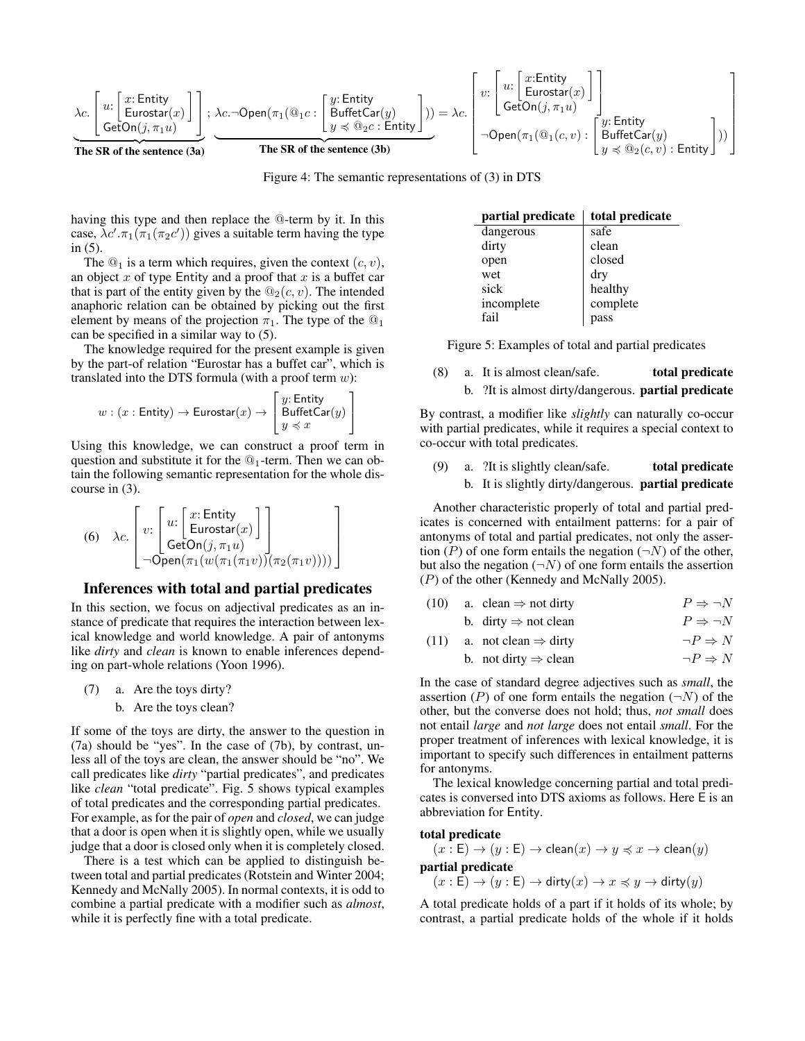$$
\underbrace{\lambda c.}_{\text{Te}}\left[\begin{matrix} u \colon \text{Entity} \\ \text{Eurostar}(x) \end{matrix}\right] }_{\text{The SR of the sentence (3a)}}; \underbrace{\lambda c. \neg \text{Open}(\pi_1(\textbf{Q}_1 c \colon \text{Entity} \\ \text{BufferCar}(y) \\ y \preccurlyeq \textbf{Q}_2 c \colon \text{Entity} \end{matrix}\right)) = \lambda c. \left[\begin{matrix} v \colon \text{Entity} \\ \text{Eurostar}(x) \\ \text{GetOn}(j,\pi_1 u) \end{matrix}\right] }_{\neg \text{Open}(\pi_1(\textbf{Q}_1(c,v) \colon \text{Entity} \\ \text{BufferCar}(y) \\ y \preccurlyeq \textbf{Q}_2(c,v) \colon \text{Entity} \end{matrix}\right])\right]
$$

Figure 4: The semantic representations of (3) in DTS

having this type and then replace the @-term by it. In this case,  $\lambda c'$ .  $\pi_1(\pi_1(\pi_2 c'))$  gives a suitable term having the type in (5).

The  $\mathcal{Q}_1$  is a term which requires, given the context  $(c, v)$ , an object *x* of type Entity and a proof that *x* is a buffet car that is part of the entity given by the  $\mathcal{Q}_2(c, v)$ . The intended anaphoric relation can be obtained by picking out the first element by means of the projection  $\pi_1$ . The type of the  $\mathcal{Q}_1$ can be specified in a similar way to (5).

The knowledge required for the present example is given by the part-of relation "Eurostar has a buffet car", which is translated into the DTS formula (with a proof term *w*):

$$
w : (x : \mathsf{Entity}) \rightarrow \mathsf{Eurostar}(x) \rightarrow \left[\begin{matrix} y{:} \mathsf{Entity} \\ \mathsf{BufferCar}(y) \\ y \preccurlyeq x \end{matrix}\right]
$$

Using this knowledge, we can construct a proof term in question and substitute it for the  $@_1$ -term. Then we can obtain the following semantic representation for the whole discourse in (3).

(6) 
$$
\lambda c. \begin{bmatrix} v: \begin{bmatrix} x: \text{Entity} \\ \text{Eurostar}(x) \end{bmatrix} \\ \neg \text{Open}(\pi_1(w(\pi_1(\pi_1 v))(\pi_2(\pi_1 v)))) \end{bmatrix}
$$

#### Inferences with total and partial predicates

In this section, we focus on adjectival predicates as an instance of predicate that requires the interaction between lexical knowledge and world knowledge. A pair of antonyms like *dirty* and *clean* is known to enable inferences depending on part-whole relations (Yoon 1996).

- (7) a. Are the toys dirty?
	- b. Are the toys clean?

If some of the toys are dirty, the answer to the question in (7a) should be "yes". In the case of (7b), by contrast, unless all of the toys are clean, the answer should be "no". We call predicates like *dirty* "partial predicates", and predicates like *clean* "total predicate". Fig. 5 shows typical examples of total predicates and the corresponding partial predicates. For example, as for the pair of *open* and *closed*, we can judge that a door is open when it is slightly open, while we usually judge that a door is closed only when it is completely closed.

There is a test which can be applied to distinguish between total and partial predicates (Rotstein and Winter 2004; Kennedy and McNally 2005). In normal contexts, it is odd to combine a partial predicate with a modifier such as *almost*, while it is perfectly fine with a total predicate.

| partial predicate | total predicate |
|-------------------|-----------------|
| dangerous         | safe            |
| dirty             | clean           |
| open              | closed          |
| wet               | dry             |
| sick              | healthy         |
| incomplete        | complete        |
| fail              | pass            |

Figure 5: Examples of total and partial predicates

(8) a. It is almost clean/safe. total predicate b. ?It is almost dirty/dangerous. partial predicate

By contrast, a modifier like *slightly* can naturally co-occur with partial predicates, while it requires a special context to co-occur with total predicates.

 $(9)$  a. ?It is slightly clean/safe. **total predicate** b. It is slightly dirty/dangerous. partial predicate

Another characteristic properly of total and partial predicates is concerned with entailment patterns: for a pair of antonyms of total and partial predicates, not only the assertion  $(P)$  of one form entails the negation  $(\neg N)$  of the other, but also the negation  $(\neg N)$  of one form entails the assertion (*P*) of the other (Kennedy and McNally 2005).

|  | $(10)$ a. clean $\Rightarrow$ not dirty | $P \Rightarrow \neg N$ |
|--|-----------------------------------------|------------------------|
|  | b. dirty $\Rightarrow$ not clean        | $P \Rightarrow \neg N$ |

| (11) a. not clean $\Rightarrow$ dirty | $\neg P \Rightarrow N$ |
|---------------------------------------|------------------------|

b. not dirty  $\Rightarrow$  clean  $\neg P \Rightarrow N$ 

In the case of standard degree adjectives such as *small*, the assertion (*P*) of one form entails the negation ( $\neg N$ ) of the other, but the converse does not hold; thus, *not small* does not entail *large* and *not large* does not entail *small*. For the proper treatment of inferences with lexical knowledge, it is important to specify such differences in entailment patterns for antonyms.

The lexical knowledge concerning partial and total predicates is conversed into DTS axioms as follows. Here E is an abbreviation for Entity.

#### total predicate

 $(x \cdot \text{E}) \rightarrow (y : \text{E}) \rightarrow \text{clean}(x) \rightarrow y \preccurlyeq x \rightarrow \text{clean}(y)$ partial predicate  $(x : E) \rightarrow (y : E) \rightarrow$  dirty $(x) \rightarrow x \leq y \rightarrow$  dirty $(y)$ 

A total predicate holds of a part if it holds of its whole; by contrast, a partial predicate holds of the whole if it holds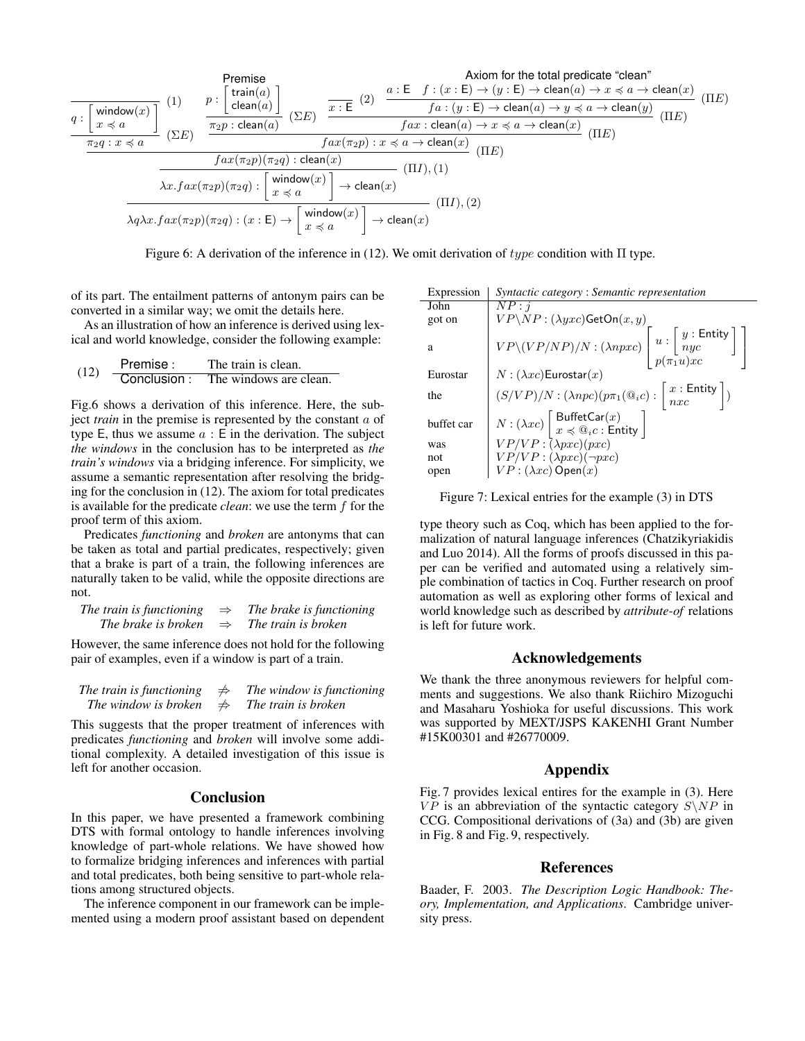$$
\frac{\text{Premise}}{q:\left[\begin{array}{c}\text{window}(x)\\x \preccurlyeq a\end{array}\right]} \quad (1) \qquad p:\left[\begin{array}{c}\text{train}(a)\\ \text{clean}(a)\end{array}\right] \quad \frac{p:\left[\begin{array}{c}\text{train}(a)\\ \text{clean}(a)\end{array}\right]}{\frac{\pi_2 p:\text{clean}(a)}{\pi_2 p:\text{clean}(a)} \quad (\Sigma E)} \quad \frac{\overline{x:E^{-}(2)} \quad \frac{a:E^{-}f:(x:E) \rightarrow (y:E) \rightarrow \text{clean}(a) \rightarrow x \preccurlyeq a \rightarrow \text{clean}(x)}{fa:(y:E) \rightarrow \text{clean}(a) \rightarrow y \preccurlyeq a \rightarrow \text{clean}(y)} \quad (\Pi E)} \\\frac{fax: \text{clean}(a) \rightarrow x \preccurlyeq a \rightarrow \text{clean}(x)}{fa:(y:E) \rightarrow \text{clean}(a) \rightarrow x \preccurlyeq a \rightarrow \text{clean}(x)} \quad (\Pi E) \\\frac{fax(\pi_2 p)(\pi_2 q): \text{clean}(x)}{fax(\pi_2 p)(\pi_2 q): \text{clean}(x)} \quad (\Pi E) \\\frac{fax(\pi_2 p)(\pi_2 q): \text{clean}(x)}{x \preccurlyeq a} \quad (\Pi I), (1) \\\frac{\lambda x.fax(\pi_2 p)(\pi_2 q): \left[\begin{array}{c}\text{window}(x)\\x \preccurlyeq a\end{array}\right] \rightarrow \text{clean}(x)}{\lambda q \lambda x.fax(\pi_2 p)(\pi_2 q): (x:E) \rightarrow \left[\begin{array}{c}\text{window}(x)\\x \preccurlyeq a\end{array}\right] \rightarrow \text{clean}(x)} \quad (\Pi I), (2)
$$

Figure 6: A derivation of the inference in (12). We omit derivation of *type* condition with Π type.

of its part. The entailment patterns of antonym pairs can be converted in a similar way; we omit the details here.

As an illustration of how an inference is derived using lexical and world knowledge, consider the following example:

| (12) | Premise:    | The train is clean.    |
|------|-------------|------------------------|
|      | Conclusion: | The windows are clean. |

Fig.6 shows a derivation of this inference. Here, the subject *train* in the premise is represented by the constant *a* of type E, thus we assume *a* : E in the derivation. The subject *the windows* in the conclusion has to be interpreted as *the train's windows* via a bridging inference. For simplicity, we assume a semantic representation after resolving the bridging for the conclusion in (12). The axiom for total predicates is available for the predicate *clean*: we use the term *f* for the proof term of this axiom.

Predicates *functioning* and *broken* are antonyms that can be taken as total and partial predicates, respectively; given that a brake is part of a train, the following inferences are naturally taken to be valid, while the opposite directions are not.

| The train is functioning | $\Rightarrow$ | The brake is functioning |
|--------------------------|---------------|--------------------------|
| The brake is broken      | $\Rightarrow$ | The train is broken      |

However, the same inference does not hold for the following pair of examples, even if a window is part of a train.

| The train is functioning | $\Rightarrow$ | The window is functioning |
|--------------------------|---------------|---------------------------|
| The window is broken     | $\Rightarrow$ | The train is broken       |

This suggests that the proper treatment of inferences with predicates *functioning* and *broken* will involve some additional complexity. A detailed investigation of this issue is left for another occasion.

#### Conclusion

In this paper, we have presented a framework combining DTS with formal ontology to handle inferences involving knowledge of part-whole relations. We have showed how to formalize bridging inferences and inferences with partial and total predicates, both being sensitive to part-whole relations among structured objects.

The inference component in our framework can be implemented using a modern proof assistant based on dependent

| Syntactic category: Semantic representation                                                                                                          |
|------------------------------------------------------------------------------------------------------------------------------------------------------|
| NP: i                                                                                                                                                |
| $VP\setminus NP : (\lambda yxc)$ GetOn $(x, y)$                                                                                                      |
| $VP\setminus (VP/NP)/N : (\lambda npxc) \left[ u : \left[ \begin{array}{c} y : \textsf{Entity} \\ nyc \end{array} \right] \right]$                   |
| $N:(\lambda xc)$ Eurostar $(x)$                                                                                                                      |
| $(S/VP)/N$ : $(\lambda npc)(p\pi_1(\mathbb{Q}_i c)$ : $\left  \begin{array}{c} x :$ Entity $\end{array} \right $ )                                   |
| $N: (\lambda xc)$ $\begin{bmatrix} \text{BufferCar}(x) \\ x \preccurlyeq \mathbb{Q}_ic : \text{Entity} \end{bmatrix}$<br>$VP/VP: (\lambda pxc)(pxc)$ |
|                                                                                                                                                      |
| $VP/VP : (\lambda pxc)(\neg pxc)$                                                                                                                    |
| $VP: (\lambda xc)$ Open $(x)$                                                                                                                        |
|                                                                                                                                                      |

Figure 7: Lexical entries for the example (3) in DTS

type theory such as Coq, which has been applied to the formalization of natural language inferences (Chatzikyriakidis and Luo 2014). All the forms of proofs discussed in this paper can be verified and automated using a relatively simple combination of tactics in Coq. Further research on proof automation as well as exploring other forms of lexical and world knowledge such as described by *attribute-of* relations is left for future work.

### Acknowledgements

We thank the three anonymous reviewers for helpful comments and suggestions. We also thank Riichiro Mizoguchi and Masaharu Yoshioka for useful discussions. This work was supported by MEXT/JSPS KAKENHI Grant Number #15K00301 and #26770009.

# Appendix

Fig. 7 provides lexical entires for the example in (3). Here *VP* is an abbreviation of the syntactic category  $S\$  N in CCG. Compositional derivations of (3a) and (3b) are given in Fig. 8 and Fig. 9, respectively.

# References

Baader, F. 2003. *The Description Logic Handbook: Theory, Implementation, and Applications*. Cambridge university press.